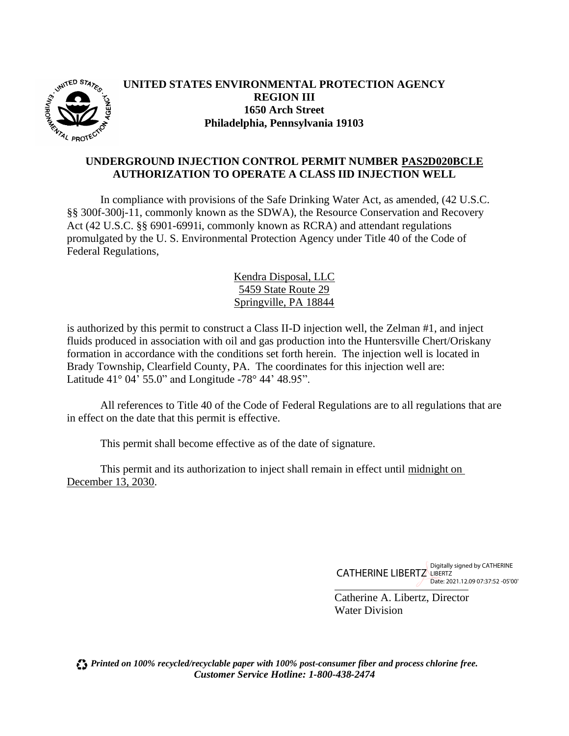

### **UNITED STATES ENVIRONMENTAL PROTECTION AGENCY REGION III 1650 Arch Street Philadelphia, Pennsylvania 19103**

#### **UNDERGROUND INJECTION CONTROL PERMIT NUMBER PAS2D020BCLE AUTHORIZATION TO OPERATE A CLASS IID INJECTION WELL**

In compliance with provisions of the Safe Drinking Water Act, as amended, (42 U.S.C. §§ 300f-300j-11, commonly known as the SDWA), the Resource Conservation and Recovery Act (42 U.S.C. §§ 6901-6991i, commonly known as RCRA) and attendant regulations promulgated by the U. S. Environmental Protection Agency under Title 40 of the Code of Federal Regulations,

> Kendra Disposal, LLC 5459 State Route 29 Springville, PA 18844

is authorized by this permit to construct a Class II-D injection well, the Zelman #1, and inject fluids produced in association with oil and gas production into the Huntersville Chert/Oriskany formation in accordance with the conditions set forth herein. The injection well is located in Brady Township, Clearfield County, PA. The coordinates for this injection well are: Latitude 41° 04' 55.0" and Longitude -78° 44' 48.95".

All references to Title 40 of the Code of Federal Regulations are to all regulations that are in effect on the date that this permit is effective.

This permit shall become effective as of the date of signature.

This permit and its authorization to inject shall remain in effect until midnight on December 13, 2030.

> $\overline{a}$ CATHERINE LIBERTZ LIBERTZ Digitally signed by CATHERINE Date: 2021.12.09 07:37:52 -05'00'

Catherine A. Libertz, Director Water Division

*Printed on 100% recycled/recyclable paper with 100% post-consumer fiber and process chlorine free. Customer Service Hotline: 1-800-438-2474*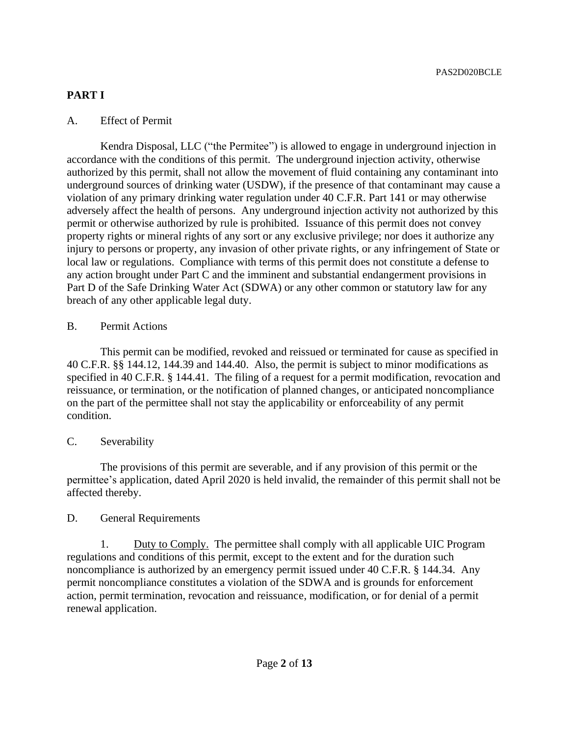# **PART I**

## A. Effect of Permit

Kendra Disposal, LLC ("the Permitee") is allowed to engage in underground injection in accordance with the conditions of this permit. The underground injection activity, otherwise authorized by this permit, shall not allow the movement of fluid containing any contaminant into underground sources of drinking water (USDW), if the presence of that contaminant may cause a violation of any primary drinking water regulation under 40 C.F.R. Part 141 or may otherwise adversely affect the health of persons. Any underground injection activity not authorized by this permit or otherwise authorized by rule is prohibited. Issuance of this permit does not convey property rights or mineral rights of any sort or any exclusive privilege; nor does it authorize any injury to persons or property, any invasion of other private rights, or any infringement of State or local law or regulations. Compliance with terms of this permit does not constitute a defense to any action brought under Part C and the imminent and substantial endangerment provisions in Part D of the Safe Drinking Water Act (SDWA) or any other common or statutory law for any breach of any other applicable legal duty.

## B. Permit Actions

This permit can be modified, revoked and reissued or terminated for cause as specified in 40 C.F.R. §§ 144.12, 144.39 and 144.40. Also, the permit is subject to minor modifications as specified in 40 C.F.R. § 144.41. The filing of a request for a permit modification, revocation and reissuance, or termination, or the notification of planned changes, or anticipated noncompliance on the part of the permittee shall not stay the applicability or enforceability of any permit condition.

# C. Severability

The provisions of this permit are severable, and if any provision of this permit or the permittee's application, dated April 2020 is held invalid, the remainder of this permit shall not be affected thereby.

# D. General Requirements

1. Duty to Comply. The permittee shall comply with all applicable UIC Program regulations and conditions of this permit, except to the extent and for the duration such noncompliance is authorized by an emergency permit issued under 40 C.F.R. § 144.34. Any permit noncompliance constitutes a violation of the SDWA and is grounds for enforcement action, permit termination, revocation and reissuance, modification, or for denial of a permit renewal application.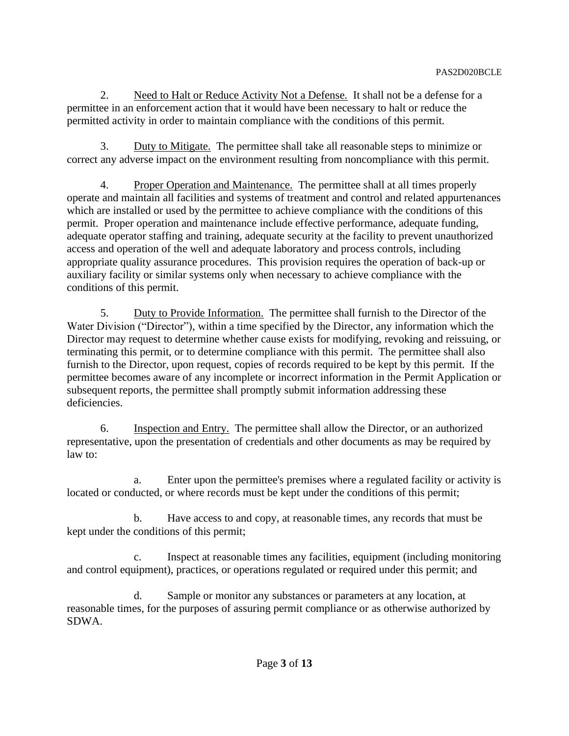2. Need to Halt or Reduce Activity Not a Defense. It shall not be a defense for a permittee in an enforcement action that it would have been necessary to halt or reduce the permitted activity in order to maintain compliance with the conditions of this permit.

3. Duty to Mitigate. The permittee shall take all reasonable steps to minimize or correct any adverse impact on the environment resulting from noncompliance with this permit.

4. Proper Operation and Maintenance. The permittee shall at all times properly operate and maintain all facilities and systems of treatment and control and related appurtenances which are installed or used by the permittee to achieve compliance with the conditions of this permit. Proper operation and maintenance include effective performance, adequate funding, adequate operator staffing and training, adequate security at the facility to prevent unauthorized access and operation of the well and adequate laboratory and process controls, including appropriate quality assurance procedures. This provision requires the operation of back-up or auxiliary facility or similar systems only when necessary to achieve compliance with the conditions of this permit.

5. Duty to Provide Information. The permittee shall furnish to the Director of the Water Division ("Director"), within a time specified by the Director, any information which the Director may request to determine whether cause exists for modifying, revoking and reissuing, or terminating this permit, or to determine compliance with this permit. The permittee shall also furnish to the Director, upon request, copies of records required to be kept by this permit. If the permittee becomes aware of any incomplete or incorrect information in the Permit Application or subsequent reports, the permittee shall promptly submit information addressing these deficiencies.

6. Inspection and Entry. The permittee shall allow the Director, or an authorized representative, upon the presentation of credentials and other documents as may be required by law to:

a. Enter upon the permittee's premises where a regulated facility or activity is located or conducted, or where records must be kept under the conditions of this permit;

b. Have access to and copy, at reasonable times, any records that must be kept under the conditions of this permit;

c. Inspect at reasonable times any facilities, equipment (including monitoring and control equipment), practices, or operations regulated or required under this permit; and

d. Sample or monitor any substances or parameters at any location, at reasonable times, for the purposes of assuring permit compliance or as otherwise authorized by SDWA.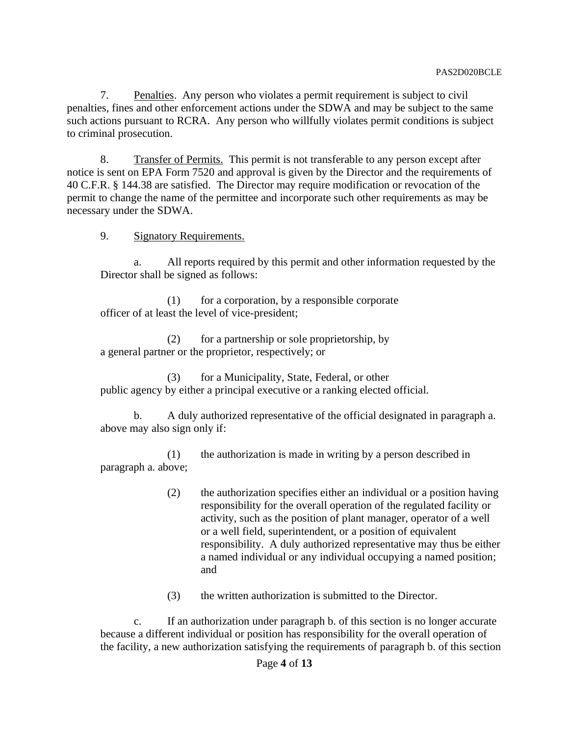7. Penalties. Any person who violates a permit requirement is subject to civil penalties, fines and other enforcement actions under the SDWA and may be subject to the same such actions pursuant to RCRA. Any person who willfully violates permit conditions is subject to criminal prosecution.

8. Transfer of Permits. This permit is not transferable to any person except after notice is sent on EPA Form 7520 and approval is given by the Director and the requirements of 40 C.F.R. § 144.38 are satisfied. The Director may require modification or revocation of the permit to change the name of the permittee and incorporate such other requirements as may be necessary under the SDWA.

9. Signatory Requirements.

a. All reports required by this permit and other information requested by the Director shall be signed as follows:

 (1) for a corporation, by a responsible corporate officer of at least the level of vice-president;

(2) for a partnership or sole proprietorship, by a general partner or the proprietor, respectively; or

(3) for a Municipality, State, Federal, or other public agency by either a principal executive or a ranking elected official.

b. A duly authorized representative of the official designated in paragraph a. above may also sign only if:

(1) the authorization is made in writing by a person described in paragraph a. above;

- (2) the authorization specifies either an individual or a position having responsibility for the overall operation of the regulated facility or activity, such as the position of plant manager, operator of a well or a well field, superintendent, or a position of equivalent responsibility. A duly authorized representative may thus be either a named individual or any individual occupying a named position; and
- (3) the written authorization is submitted to the Director.

c. If an authorization under paragraph b. of this section is no longer accurate because a different individual or position has responsibility for the overall operation of the facility, a new authorization satisfying the requirements of paragraph b. of this section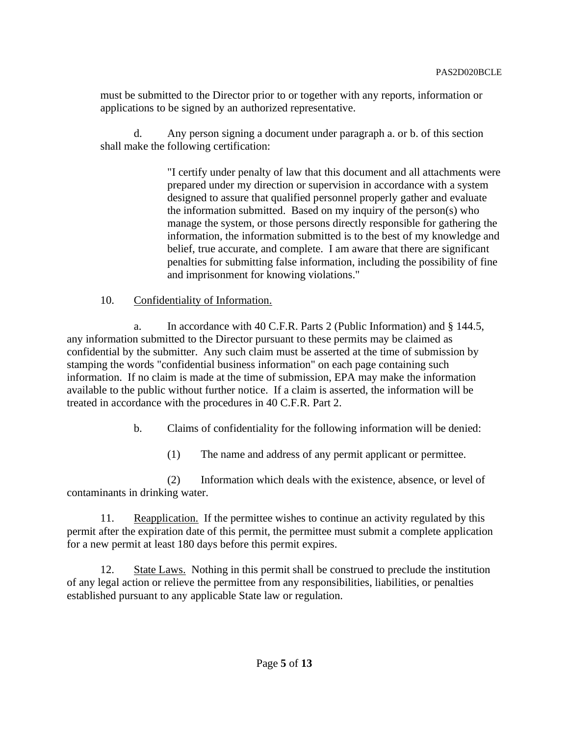must be submitted to the Director prior to or together with any reports, information or applications to be signed by an authorized representative.

d. Any person signing a document under paragraph a. or b. of this section shall make the following certification:

> "I certify under penalty of law that this document and all attachments were prepared under my direction or supervision in accordance with a system designed to assure that qualified personnel properly gather and evaluate the information submitted. Based on my inquiry of the person(s) who manage the system, or those persons directly responsible for gathering the information, the information submitted is to the best of my knowledge and belief, true accurate, and complete. I am aware that there are significant penalties for submitting false information, including the possibility of fine and imprisonment for knowing violations."

## 10. Confidentiality of Information.

a. In accordance with 40 C.F.R. Parts 2 (Public Information) and § 144.5, any information submitted to the Director pursuant to these permits may be claimed as confidential by the submitter. Any such claim must be asserted at the time of submission by stamping the words "confidential business information" on each page containing such information. If no claim is made at the time of submission, EPA may make the information available to the public without further notice. If a claim is asserted, the information will be treated in accordance with the procedures in 40 C.F.R. Part 2.

b. Claims of confidentiality for the following information will be denied:

(1) The name and address of any permit applicant or permittee.

(2) Information which deals with the existence, absence, or level of contaminants in drinking water.

11. Reapplication. If the permittee wishes to continue an activity regulated by this permit after the expiration date of this permit, the permittee must submit a complete application for a new permit at least 180 days before this permit expires.

12. State Laws. Nothing in this permit shall be construed to preclude the institution of any legal action or relieve the permittee from any responsibilities, liabilities, or penalties established pursuant to any applicable State law or regulation.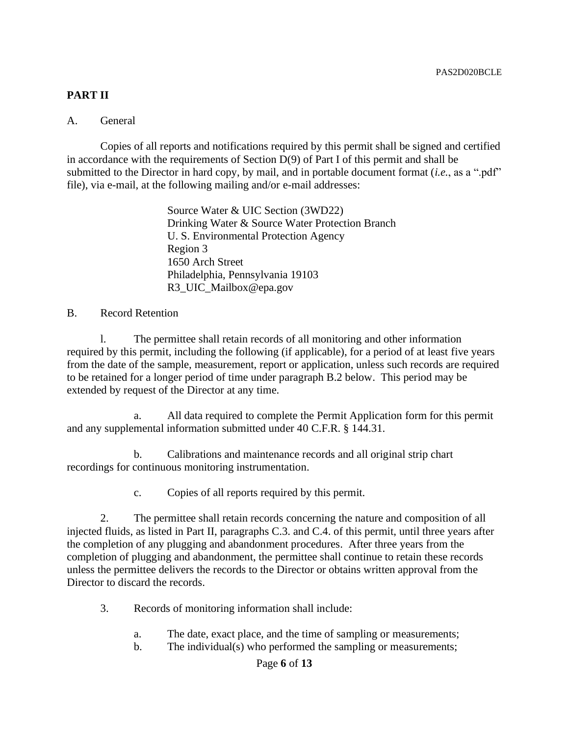## **PART II**

### A. General

Copies of all reports and notifications required by this permit shall be signed and certified in accordance with the requirements of Section D(9) of Part I of this permit and shall be submitted to the Director in hard copy, by mail, and in portable document format (*i.e.*, as a ".pdf" file), via e-mail, at the following mailing and/or e-mail addresses:

> Source Water & UIC Section (3WD22) Drinking Water & Source Water Protection Branch U. S. Environmental Protection Agency Region 3 1650 Arch Street Philadelphia, Pennsylvania 19103 R3\_UIC\_Mailbox@epa.gov

### B. Record Retention

l. The permittee shall retain records of all monitoring and other information required by this permit, including the following (if applicable), for a period of at least five years from the date of the sample, measurement, report or application, unless such records are required to be retained for a longer period of time under paragraph B.2 below. This period may be extended by request of the Director at any time.

a. All data required to complete the Permit Application form for this permit and any supplemental information submitted under 40 C.F.R. § 144.31.

b. Calibrations and maintenance records and all original strip chart recordings for continuous monitoring instrumentation.

c. Copies of all reports required by this permit.

2. The permittee shall retain records concerning the nature and composition of all injected fluids, as listed in Part II, paragraphs C.3. and C.4. of this permit, until three years after the completion of any plugging and abandonment procedures. After three years from the completion of plugging and abandonment, the permittee shall continue to retain these records unless the permittee delivers the records to the Director or obtains written approval from the Director to discard the records.

3. Records of monitoring information shall include:

- a. The date, exact place, and the time of sampling or measurements;
- b. The individual(s) who performed the sampling or measurements;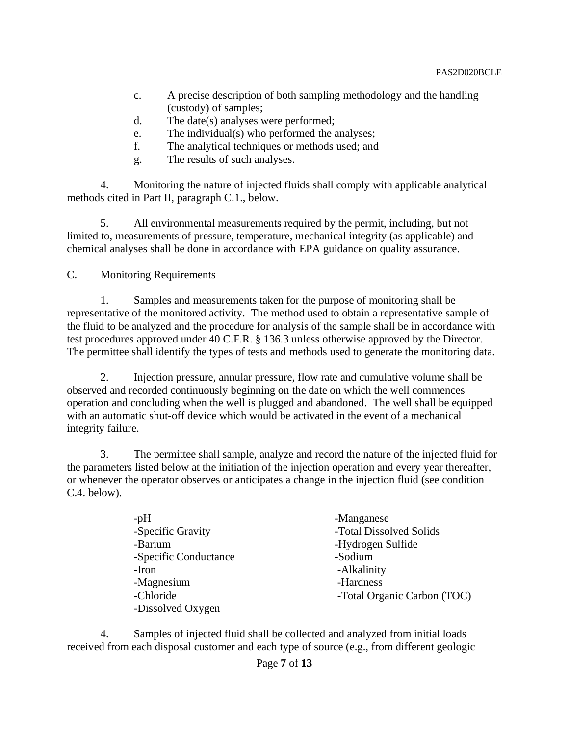- c. A precise description of both sampling methodology and the handling (custody) of samples;
- d. The date(s) analyses were performed;
- e. The individual(s) who performed the analyses;
- f. The analytical techniques or methods used; and
- g. The results of such analyses.

4. Monitoring the nature of injected fluids shall comply with applicable analytical methods cited in Part II, paragraph C.1., below.

5. All environmental measurements required by the permit, including, but not limited to, measurements of pressure, temperature, mechanical integrity (as applicable) and chemical analyses shall be done in accordance with EPA guidance on quality assurance.

C. Monitoring Requirements

1. Samples and measurements taken for the purpose of monitoring shall be representative of the monitored activity. The method used to obtain a representative sample of the fluid to be analyzed and the procedure for analysis of the sample shall be in accordance with test procedures approved under 40 C.F.R. § 136.3 unless otherwise approved by the Director. The permittee shall identify the types of tests and methods used to generate the monitoring data.

2. Injection pressure, annular pressure, flow rate and cumulative volume shall be observed and recorded continuously beginning on the date on which the well commences operation and concluding when the well is plugged and abandoned. The well shall be equipped with an automatic shut-off device which would be activated in the event of a mechanical integrity failure.

3. The permittee shall sample, analyze and record the nature of the injected fluid for the parameters listed below at the initiation of the injection operation and every year thereafter, or whenever the operator observes or anticipates a change in the injection fluid (see condition C.4. below).

| -pH                   | -Manganese                  |
|-----------------------|-----------------------------|
| -Specific Gravity     | -Total Dissolved Solids     |
| -Barium               | -Hydrogen Sulfide           |
| -Specific Conductance | -Sodium                     |
| -Iron                 | -Alkalinity                 |
| -Magnesium            | -Hardness                   |
| -Chloride             | -Total Organic Carbon (TOC) |
| -Dissolved Oxygen     |                             |

4. Samples of injected fluid shall be collected and analyzed from initial loads received from each disposal customer and each type of source (e.g., from different geologic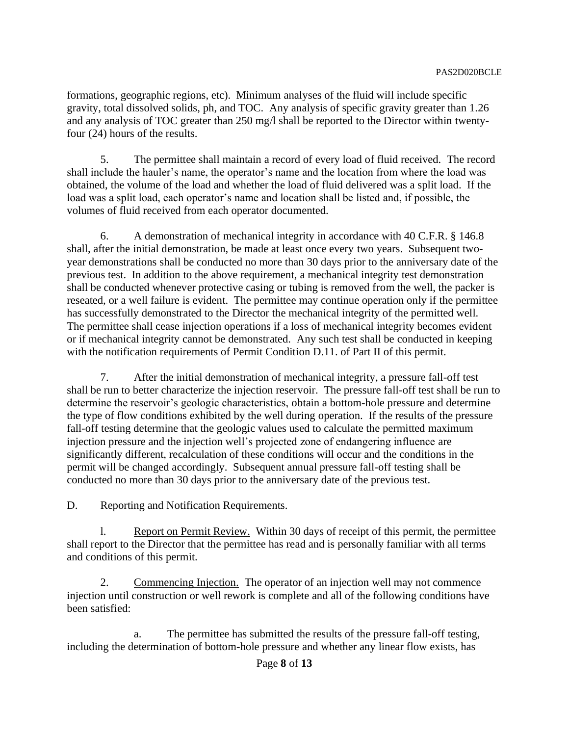formations, geographic regions, etc). Minimum analyses of the fluid will include specific gravity, total dissolved solids, ph, and TOC. Any analysis of specific gravity greater than 1.26 and any analysis of TOC greater than 250 mg/l shall be reported to the Director within twentyfour (24) hours of the results.

5. The permittee shall maintain a record of every load of fluid received. The record shall include the hauler's name, the operator's name and the location from where the load was obtained, the volume of the load and whether the load of fluid delivered was a split load. If the load was a split load, each operator's name and location shall be listed and, if possible, the volumes of fluid received from each operator documented.

6. A demonstration of mechanical integrity in accordance with 40 C.F.R. § 146.8 shall, after the initial demonstration, be made at least once every two years. Subsequent twoyear demonstrations shall be conducted no more than 30 days prior to the anniversary date of the previous test. In addition to the above requirement, a mechanical integrity test demonstration shall be conducted whenever protective casing or tubing is removed from the well, the packer is reseated, or a well failure is evident. The permittee may continue operation only if the permittee has successfully demonstrated to the Director the mechanical integrity of the permitted well. The permittee shall cease injection operations if a loss of mechanical integrity becomes evident or if mechanical integrity cannot be demonstrated. Any such test shall be conducted in keeping with the notification requirements of Permit Condition D.11. of Part II of this permit.

7. After the initial demonstration of mechanical integrity, a pressure fall-off test shall be run to better characterize the injection reservoir. The pressure fall-off test shall be run to determine the reservoir's geologic characteristics, obtain a bottom-hole pressure and determine the type of flow conditions exhibited by the well during operation. If the results of the pressure fall-off testing determine that the geologic values used to calculate the permitted maximum injection pressure and the injection well's projected zone of endangering influence are significantly different, recalculation of these conditions will occur and the conditions in the permit will be changed accordingly. Subsequent annual pressure fall-off testing shall be conducted no more than 30 days prior to the anniversary date of the previous test.

D. Reporting and Notification Requirements.

l. Report on Permit Review. Within 30 days of receipt of this permit, the permittee shall report to the Director that the permittee has read and is personally familiar with all terms and conditions of this permit.

2. Commencing Injection. The operator of an injection well may not commence injection until construction or well rework is complete and all of the following conditions have been satisfied:

a. The permittee has submitted the results of the pressure fall-off testing, including the determination of bottom-hole pressure and whether any linear flow exists, has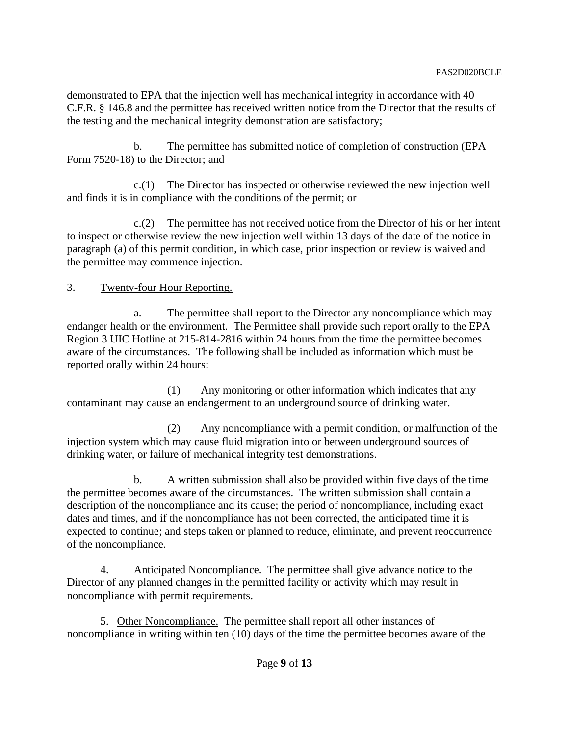demonstrated to EPA that the injection well has mechanical integrity in accordance with 40 C.F.R. § 146.8 and the permittee has received written notice from the Director that the results of the testing and the mechanical integrity demonstration are satisfactory;

b. The permittee has submitted notice of completion of construction (EPA Form 7520-18) to the Director; and

c.(1) The Director has inspected or otherwise reviewed the new injection well and finds it is in compliance with the conditions of the permit; or

c.(2) The permittee has not received notice from the Director of his or her intent to inspect or otherwise review the new injection well within 13 days of the date of the notice in paragraph (a) of this permit condition, in which case, prior inspection or review is waived and the permittee may commence injection.

# 3. Twenty-four Hour Reporting.

a. The permittee shall report to the Director any noncompliance which may endanger health or the environment. The Permittee shall provide such report orally to the EPA Region 3 UIC Hotline at 215-814-2816 within 24 hours from the time the permittee becomes aware of the circumstances. The following shall be included as information which must be reported orally within 24 hours:

(1) Any monitoring or other information which indicates that any contaminant may cause an endangerment to an underground source of drinking water.

(2) Any noncompliance with a permit condition, or malfunction of the injection system which may cause fluid migration into or between underground sources of drinking water, or failure of mechanical integrity test demonstrations.

b. A written submission shall also be provided within five days of the time the permittee becomes aware of the circumstances. The written submission shall contain a description of the noncompliance and its cause; the period of noncompliance, including exact dates and times, and if the noncompliance has not been corrected, the anticipated time it is expected to continue; and steps taken or planned to reduce, eliminate, and prevent reoccurrence of the noncompliance.

4. Anticipated Noncompliance. The permittee shall give advance notice to the Director of any planned changes in the permitted facility or activity which may result in noncompliance with permit requirements.

5. Other Noncompliance. The permittee shall report all other instances of noncompliance in writing within ten (10) days of the time the permittee becomes aware of the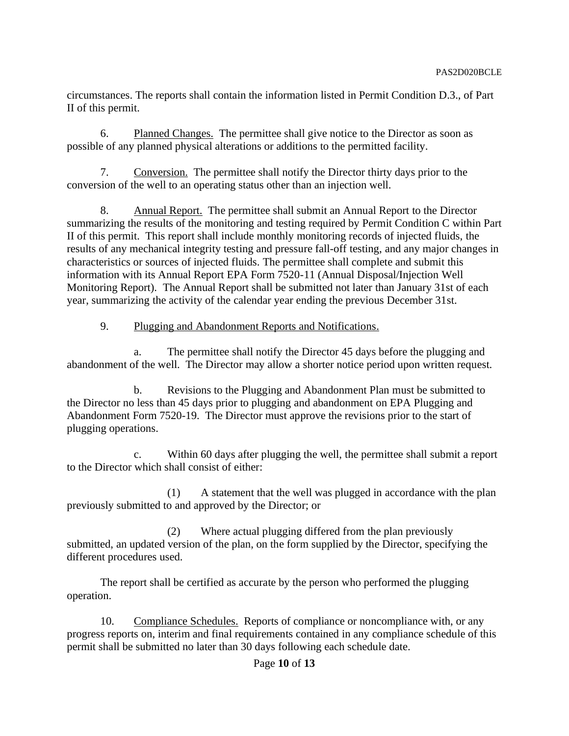circumstances. The reports shall contain the information listed in Permit Condition D.3., of Part II of this permit.

6. Planned Changes. The permittee shall give notice to the Director as soon as possible of any planned physical alterations or additions to the permitted facility.

7. Conversion. The permittee shall notify the Director thirty days prior to the conversion of the well to an operating status other than an injection well.

8. Annual Report. The permittee shall submit an Annual Report to the Director summarizing the results of the monitoring and testing required by Permit Condition C within Part II of this permit. This report shall include monthly monitoring records of injected fluids, the results of any mechanical integrity testing and pressure fall-off testing, and any major changes in characteristics or sources of injected fluids. The permittee shall complete and submit this information with its Annual Report EPA Form 7520-11 (Annual Disposal/Injection Well Monitoring Report). The Annual Report shall be submitted not later than January 31st of each year, summarizing the activity of the calendar year ending the previous December 31st.

# 9. Plugging and Abandonment Reports and Notifications.

a. The permittee shall notify the Director 45 days before the plugging and abandonment of the well. The Director may allow a shorter notice period upon written request.

b. Revisions to the Plugging and Abandonment Plan must be submitted to the Director no less than 45 days prior to plugging and abandonment on EPA Plugging and Abandonment Form 7520-19. The Director must approve the revisions prior to the start of plugging operations.

c. Within 60 days after plugging the well, the permittee shall submit a report to the Director which shall consist of either:

(1) A statement that the well was plugged in accordance with the plan previously submitted to and approved by the Director; or

(2) Where actual plugging differed from the plan previously submitted, an updated version of the plan, on the form supplied by the Director, specifying the different procedures used.

The report shall be certified as accurate by the person who performed the plugging operation.

10. Compliance Schedules. Reports of compliance or noncompliance with, or any progress reports on, interim and final requirements contained in any compliance schedule of this permit shall be submitted no later than 30 days following each schedule date.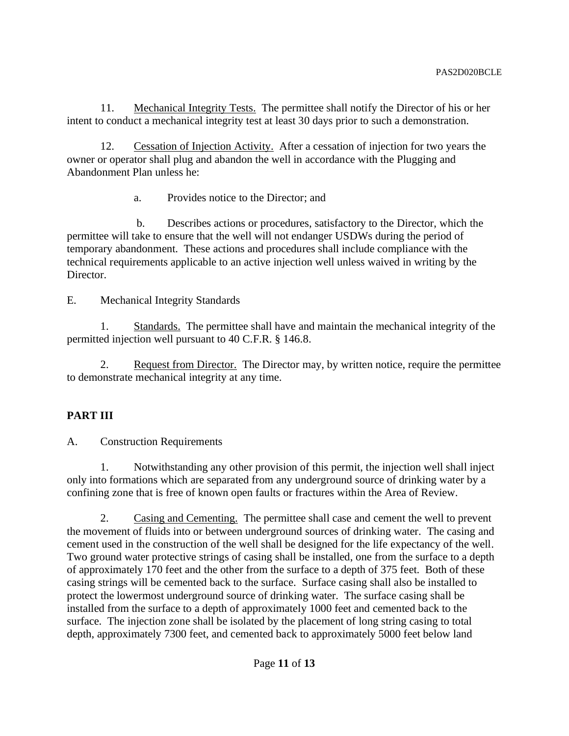11. Mechanical Integrity Tests. The permittee shall notify the Director of his or her intent to conduct a mechanical integrity test at least 30 days prior to such a demonstration.

12. Cessation of Injection Activity. After a cessation of injection for two years the owner or operator shall plug and abandon the well in accordance with the Plugging and Abandonment Plan unless he:

a. Provides notice to the Director; and

 b. Describes actions or procedures, satisfactory to the Director, which the permittee will take to ensure that the well will not endanger USDWs during the period of temporary abandonment. These actions and procedures shall include compliance with the technical requirements applicable to an active injection well unless waived in writing by the Director.

E. Mechanical Integrity Standards

1. Standards. The permittee shall have and maintain the mechanical integrity of the permitted injection well pursuant to 40 C.F.R. § 146.8.

2. Request from Director. The Director may, by written notice, require the permittee to demonstrate mechanical integrity at any time.

# **PART III**

A. Construction Requirements

1. Notwithstanding any other provision of this permit, the injection well shall inject only into formations which are separated from any underground source of drinking water by a confining zone that is free of known open faults or fractures within the Area of Review.

2. Casing and Cementing. The permittee shall case and cement the well to prevent the movement of fluids into or between underground sources of drinking water. The casing and cement used in the construction of the well shall be designed for the life expectancy of the well. Two ground water protective strings of casing shall be installed, one from the surface to a depth of approximately 170 feet and the other from the surface to a depth of 375 feet. Both of these casing strings will be cemented back to the surface. Surface casing shall also be installed to protect the lowermost underground source of drinking water. The surface casing shall be installed from the surface to a depth of approximately 1000 feet and cemented back to the surface. The injection zone shall be isolated by the placement of long string casing to total depth, approximately 7300 feet, and cemented back to approximately 5000 feet below land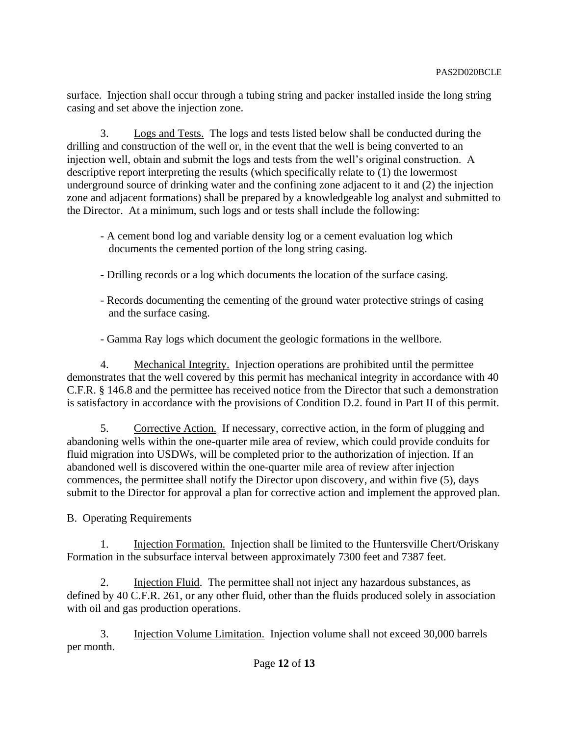surface. Injection shall occur through a tubing string and packer installed inside the long string casing and set above the injection zone.

3. Logs and Tests. The logs and tests listed below shall be conducted during the drilling and construction of the well or, in the event that the well is being converted to an injection well, obtain and submit the logs and tests from the well's original construction. A descriptive report interpreting the results (which specifically relate to (1) the lowermost underground source of drinking water and the confining zone adjacent to it and (2) the injection zone and adjacent formations) shall be prepared by a knowledgeable log analyst and submitted to the Director. At a minimum, such logs and or tests shall include the following:

- A cement bond log and variable density log or a cement evaluation log which documents the cemented portion of the long string casing.
- Drilling records or a log which documents the location of the surface casing.
- Records documenting the cementing of the ground water protective strings of casing and the surface casing.

- Gamma Ray logs which document the geologic formations in the wellbore.

4. Mechanical Integrity. Injection operations are prohibited until the permittee demonstrates that the well covered by this permit has mechanical integrity in accordance with 40 C.F.R. § 146.8 and the permittee has received notice from the Director that such a demonstration is satisfactory in accordance with the provisions of Condition D.2. found in Part II of this permit.

5. Corrective Action. If necessary, corrective action, in the form of plugging and abandoning wells within the one-quarter mile area of review, which could provide conduits for fluid migration into USDWs, will be completed prior to the authorization of injection. If an abandoned well is discovered within the one-quarter mile area of review after injection commences, the permittee shall notify the Director upon discovery, and within five (5), days submit to the Director for approval a plan for corrective action and implement the approved plan.

B. Operating Requirements

1. Injection Formation. Injection shall be limited to the Huntersville Chert/Oriskany Formation in the subsurface interval between approximately 7300 feet and 7387 feet.

2. Injection Fluid. The permittee shall not inject any hazardous substances, as defined by 40 C.F.R. 261, or any other fluid, other than the fluids produced solely in association with oil and gas production operations.

3. Injection Volume Limitation. Injection volume shall not exceed 30,000 barrels per month.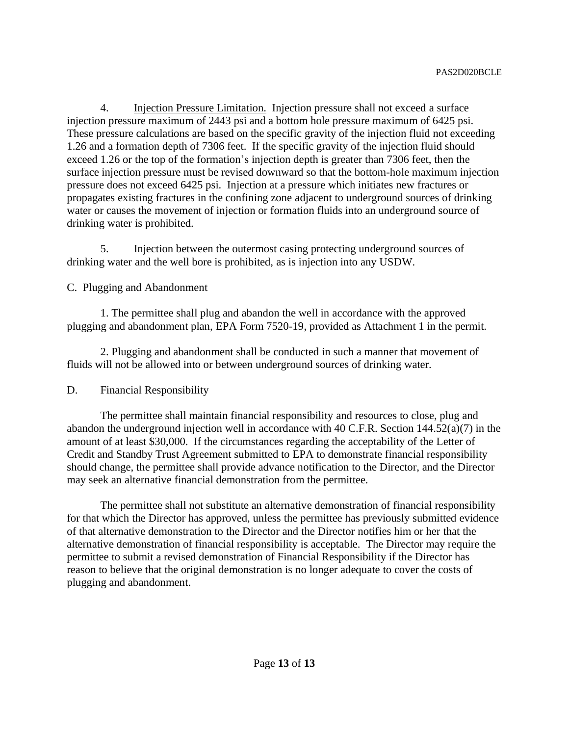4. Injection Pressure Limitation. Injection pressure shall not exceed a surface injection pressure maximum of 2443 psi and a bottom hole pressure maximum of 6425 psi. These pressure calculations are based on the specific gravity of the injection fluid not exceeding 1.26 and a formation depth of 7306 feet. If the specific gravity of the injection fluid should exceed 1.26 or the top of the formation's injection depth is greater than 7306 feet, then the surface injection pressure must be revised downward so that the bottom-hole maximum injection pressure does not exceed 6425 psi. Injection at a pressure which initiates new fractures or propagates existing fractures in the confining zone adjacent to underground sources of drinking water or causes the movement of injection or formation fluids into an underground source of drinking water is prohibited.

5. Injection between the outermost casing protecting underground sources of drinking water and the well bore is prohibited, as is injection into any USDW.

## C. Plugging and Abandonment

1. The permittee shall plug and abandon the well in accordance with the approved plugging and abandonment plan, EPA Form 7520-19, provided as Attachment 1 in the permit.

2. Plugging and abandonment shall be conducted in such a manner that movement of fluids will not be allowed into or between underground sources of drinking water.

## D. Financial Responsibility

The permittee shall maintain financial responsibility and resources to close, plug and abandon the underground injection well in accordance with 40 C.F.R. Section 144.52(a)(7) in the amount of at least \$30,000. If the circumstances regarding the acceptability of the Letter of Credit and Standby Trust Agreement submitted to EPA to demonstrate financial responsibility should change, the permittee shall provide advance notification to the Director, and the Director may seek an alternative financial demonstration from the permittee.

The permittee shall not substitute an alternative demonstration of financial responsibility for that which the Director has approved, unless the permittee has previously submitted evidence of that alternative demonstration to the Director and the Director notifies him or her that the alternative demonstration of financial responsibility is acceptable. The Director may require the permittee to submit a revised demonstration of Financial Responsibility if the Director has reason to believe that the original demonstration is no longer adequate to cover the costs of plugging and abandonment.